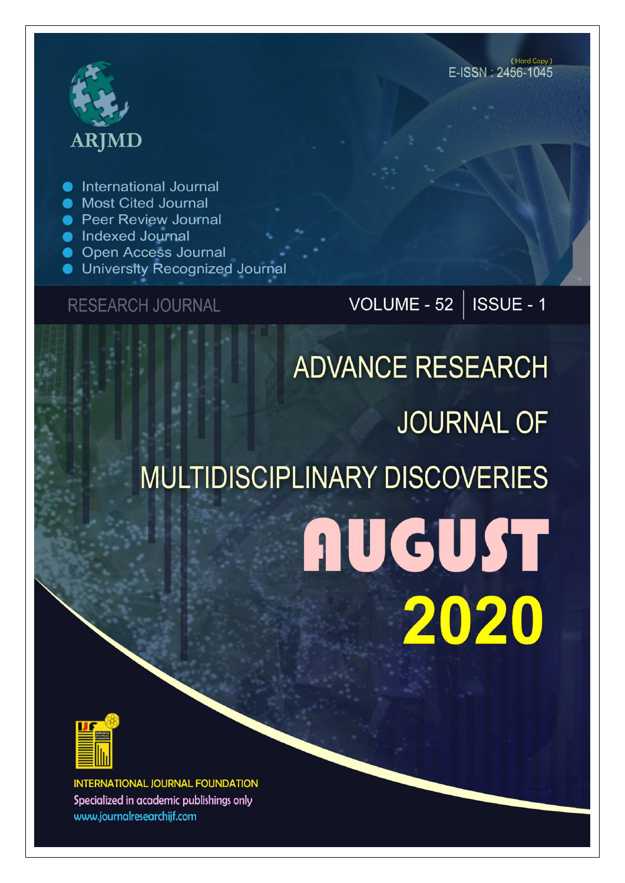

International Journal

- **Most Cited Journal**
- **Peer Review Journal**
- **Indexed Journal**
- **Open Access Journal**
- University Recognized Journal

### **RESEARCH JOURNAL**

VOLUME - 52 | ISSUE - 1

# **ADVANCE RESEARCH JOURNAL OF MULTIDISCIPLINARY DISCOVERIES AUGUST** 2020



**INTERNATIONAL JOURNAL FOUNDATION** Specialized in academic publishings only www.journalresearchijf.com

(Hard Copy)  $F$ -ISSN  $\cdot$  2456-1045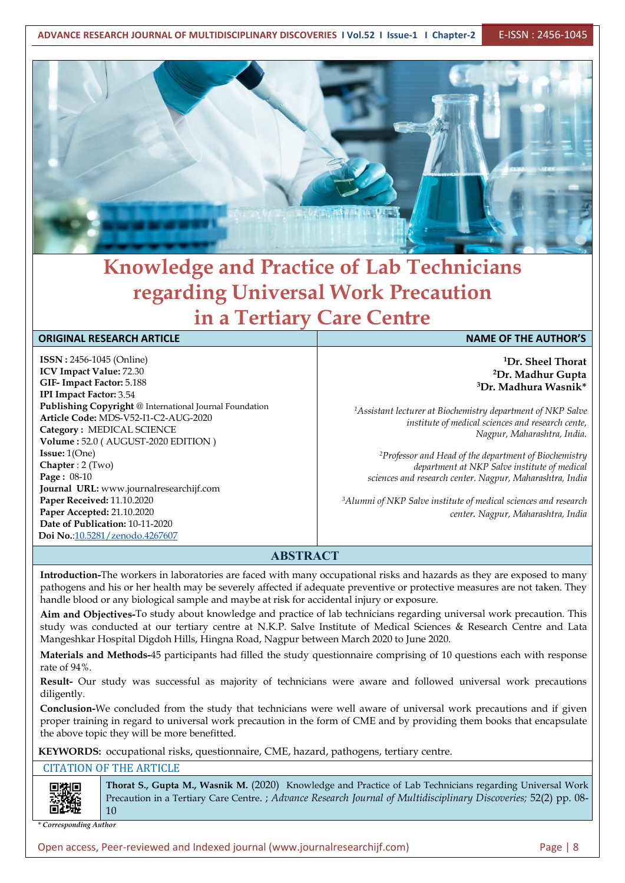**ADVANCE RESEARCH JOURNAL OF MULTIDISCIPLINARY DISCOVERIES I Vol.52 I Issue-1 I Chapter-2** E-ISSN : 2456-1045



## **Knowledge and Practice of Lab Technicians regarding Universal Work Precaution in a Tertiary Care Centre**

#### **ORIGINAL RESEARCH ARTICLE NAME OF THE AUTHOR'S**

**ISSN :** 2456-1045 (Online) **ICV Impact Value:** 72.30 **GIF- Impact Factor:** 5.188 **IPI Impact Factor:** 3.54 **Publishing Copyright** @ International Journal Foundation **Article Code:** MDS-V52-I1-C2-AUG-2020 **Category :** MEDICAL SCIENCE **Volume :** 52.0 (AUGUST-2020 EDITION ) **Issue:** 1(One) **Chapter** : 2 (Two) **Page :** 08-10 **Journal URL:** www.journalresearchijf.com **Paper Received:** 11.10.2020 **Paper Accepted:** 21.10.2020 **Date of Publication:** 10-11-2020 **Doi No.**[:10.5281/zenodo.4267607](https://doi.org/10.5281/zenodo.4267607
)

**<sup>1</sup>Dr. Sheel Thorat <sup>2</sup>Dr. Madhur Gupta <sup>3</sup>Dr. Madhura Wasnik\***

*<sup>1</sup>Assistant lecturer atBiochemistry department of NKP Salve institute of medical sciences and research cente, Nagpur, Maharashtra, India.*

*<sup>2</sup>Professor and Head of the department of Biochemistry department at NKP Salve institute of medical sciences and research center. Nagpur, Maharashtra, India*

*<sup>3</sup>Alumni of NKP Salve institute of medical sciences and research center. Nagpur, Maharashtra, India*

#### **ABSTRACT**

**Introduction-**The workers in laboratories are faced with many occupational risks and hazards as they are exposed to many pathogens and his or her health may be severely affected if adequate preventive or protective measures are not taken. They handle blood or any biological sample and maybe at risk for accidental injury or exposure.

**Aim and Objectives-**To study about knowledge and practice of lab technicians regarding universal work precaution. This study was conducted at our tertiary centre at N.K.P. Salve Institute of Medical Sciences & Research Centre and Lata Mangeshkar Hospital Digdoh Hills, Hingna Road, Nagpur between March 2020 to June 2020.

**Materials and Methods-**45 participants had filled the study questionnaire comprising of 10 questions each with response rate of 94%.

**Result-** Our study was successful as majority of technicians were aware and followed universal work precautions diligently.

**Conclusion-**We concluded from the study that technicians were well aware of universal work precautions and if given proper training in regard to universal work precaution in the form of CME and by providing them books that encapsulate the above topic they will be more benefitted.

**KEYWORDS:** occupational risks, questionnaire, CME, hazard, pathogens, tertiary centre.

#### CITATION OF THE ARTICLE

同类原

**Thorat S., Gupta M., Wasnik M.** (2020) Knowledge and Practice of Lab Technicians regarding Universal Work Precaution in a Tertiary Care Centre. ; *Advance Research Journal of Multidisciplinary Discoveries;* 52(2) pp. 08- 10

*\* Corresponding Author*

Open access, Peer-reviewed and Indexed journal (www.journalresearchijf.com) Page |8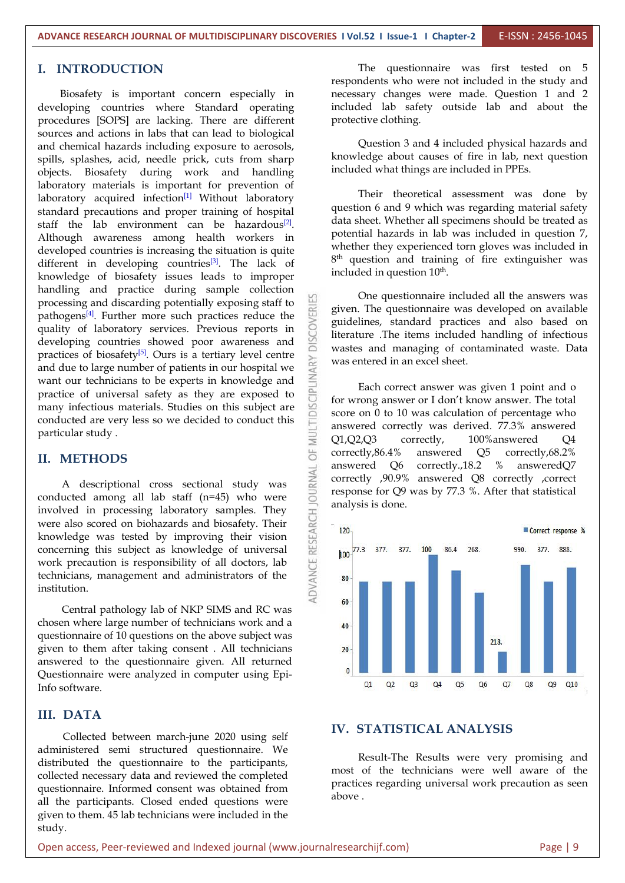#### **I. INTRODUCTION**

Biosafety is important concern especially in developing countries where Standard operating procedures [SOPS] are lacking. There are different sources and actions in labs that can lead to biological and chemical hazards including exposure to aerosols, spills, splashes, acid, needle prick, cuts from sharp objects. Biosafety during work and handling laboratory materials is important for prevention of laboratory acquired infection<sup>[1]</sup> Without laboratory **1998** Internal standard precautions and proper training of hospital staff the lab environment can be hazardous<sup>[2]</sup>. Cata she Although awareness among health workers in potential hazards in lab was included in question 7, developed countries is increasing the situation is quite different in developing countries<sup>[3]</sup>. The lack of  $8^{\text{th}}$  question knowledge of biosafety issues leads to improper handling and practice during sample collection processing and discarding potentially exposing staff to<br>pathogens<sup>[4]</sup>. Further more such practices reduce the<br>quality of laboratory services. Previous reports in<br>developing countries showed poor awareness and pathogens<sup>[4]</sup>. Further more such practices reduce the  $\sum_{n=1}^{\infty}$  similarizes quality of laboratory services. Previous reports in developing countries showed poor awareness and practices of biosafety<sup>[5]</sup>. Ours is a tertiary level centre  $\sum_{n=1}^{\infty}$  was extend practices of biosarity<sup>rs)</sup>. Ours is a teruary level centre<br>and due to large number of patients in our hospital we<br>want our technicians to be experts in knowledge and<br>practice of universal safety as they are exposed to want our technicians to be experts in knowledge and practice of universal safety as they are exposed to many infectious materials. Studies on this subject are conducted are very less so we decided to conduct this particular study .<br>  $\overrightarrow{E}$  METHODS conducted are very less so we decided to conduct this particular study .

#### **II. METHODS**

A descriptional cross sectional study was<br>ucted among all lab staff (n=45) who were<br>lved in processing laboratory samples. They<br>expected the processing laboratory samples. They<br>vieldge was tested by improving their vision conducted among all lab staff (n=45) who were involved in processing laboratory samples. They were also scored on biohazards and biosafety. Their  $\frac{126}{5}$  - 120 knowledge was tested by improving their vision  $\frac{120}{120}$ <br>concerning this subject as knowledge of universal  $\frac{120}{120}$  km  $\frac{120}{17.3}$  377. 377. 100 concerning this subject as knowledge of universal work precaution is responsibility of all doctors, lab technicians, management and administrators of the  $\leq$  80 institution.

Central pathology lab of NKP SIMS and RC was chosen where large number of technicians work and a  $\frac{40}{40}$ questionnaire of 10 questions on the above subject was given to them after taking consent . All technicians answered to the questionnaire given. All returned Questionnaire were analyzed in computer using Epi- $\frac{0}{\alpha}$ Info software.

#### **III. DATA**

Collected between march-june 2020 using self administered semi structured questionnaire. We distributed the questionnaire to the participants, collected necessary data and reviewed the completed questionnaire. Informed consent was obtained from all the participants. Closed ended questions were given to them. 45 lab technicians were included in the study.

The questionnaire was first tested on 5 respondents who were not included in the study and necessary changes were made. Question 1 and 2 included lab safety outside lab and about the protective clothing.

Question 3 and 4 included physical hazards and knowledge about causes of fire in lab, next question included what things are included in PPEs.

Their theoretical assessment was done by question 6 and 9 which was regarding material safety data sheet. Whether all specimens should be treated as whether they experienced torn gloves was included in 8 th question and training of fire extinguisher was included in question 10 th .

One questionnaire included all the answers was given. The questionnaire was developed on available guidelines, standard practices and also based on literature .The items included handling of infectious wastes and managing of contaminated waste. Data was entered in an excel sheet.

Each correct answer was given 1 point and o for wrong answer or I don't know answer. The total score on 0 to 10 was calculation of percentage who answered correctly was derived. 77.3% answered Q1,Q2,Q3 correctly, 100%answered Q4 correctly,86.4% answered Q5 correctly,68.2% answered Q6 correctly.,18.2 % answeredQ7 correctly ,90.9% answered Q8 correctly ,correct response for Q9 was by 77.3 %. After that statistical analysis is done.



#### **IV. STATISTICAL ANALYSIS**

Result-The Results were very promising and most of the technicians were well aware of the practices regarding universal work precaution as seen above .